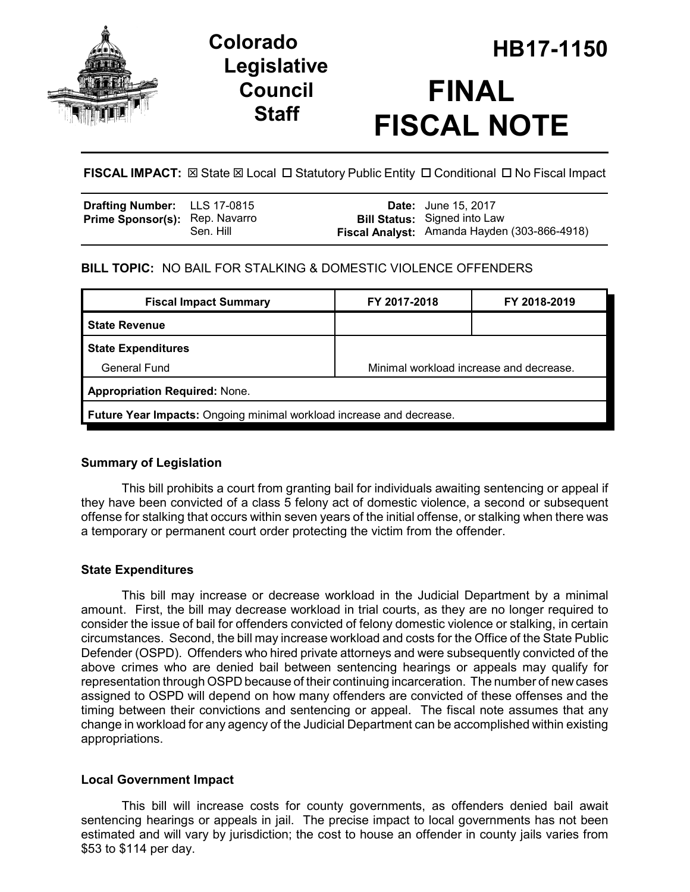

# **Legislative Council Staff**

# **HB17-1150 Colorado FINAL FISCAL NOTE**

**FISCAL IMPACT:**  $\boxtimes$  **State**  $\boxtimes$  **Local □ Statutory Public Entity □ Conditional □ No Fiscal Impact** 

| <b>Drafting Number:</b> LLS 17-0815   |           | <b>Date:</b> June 15, 2017                                                          |
|---------------------------------------|-----------|-------------------------------------------------------------------------------------|
| <b>Prime Sponsor(s): Rep. Navarro</b> | Sen. Hill | <b>Bill Status:</b> Signed into Law<br>Fiscal Analyst: Amanda Hayden (303-866-4918) |

## **BILL TOPIC:** NO BAIL FOR STALKING & DOMESTIC VIOLENCE OFFENDERS

| <b>Fiscal Impact Summary</b>                                                | FY 2017-2018                            | FY 2018-2019 |  |  |  |
|-----------------------------------------------------------------------------|-----------------------------------------|--------------|--|--|--|
| <b>State Revenue</b>                                                        |                                         |              |  |  |  |
| <b>State Expenditures</b>                                                   |                                         |              |  |  |  |
| General Fund                                                                | Minimal workload increase and decrease. |              |  |  |  |
| <b>Appropriation Required: None.</b>                                        |                                         |              |  |  |  |
| <b>Future Year Impacts:</b> Ongoing minimal workload increase and decrease. |                                         |              |  |  |  |

## **Summary of Legislation**

This bill prohibits a court from granting bail for individuals awaiting sentencing or appeal if they have been convicted of a class 5 felony act of domestic violence, a second or subsequent offense for stalking that occurs within seven years of the initial offense, or stalking when there was a temporary or permanent court order protecting the victim from the offender.

## **State Expenditures**

This bill may increase or decrease workload in the Judicial Department by a minimal amount. First, the bill may decrease workload in trial courts, as they are no longer required to consider the issue of bail for offenders convicted of felony domestic violence or stalking, in certain circumstances. Second, the bill may increase workload and costs for the Office of the State Public Defender (OSPD). Offenders who hired private attorneys and were subsequently convicted of the above crimes who are denied bail between sentencing hearings or appeals may qualify for representation through OSPD because of their continuing incarceration. The number of new cases assigned to OSPD will depend on how many offenders are convicted of these offenses and the timing between their convictions and sentencing or appeal. The fiscal note assumes that any change in workload for any agency of the Judicial Department can be accomplished within existing appropriations.

## **Local Government Impact**

This bill will increase costs for county governments, as offenders denied bail await sentencing hearings or appeals in jail. The precise impact to local governments has not been estimated and will vary by jurisdiction; the cost to house an offender in county jails varies from \$53 to \$114 per day.